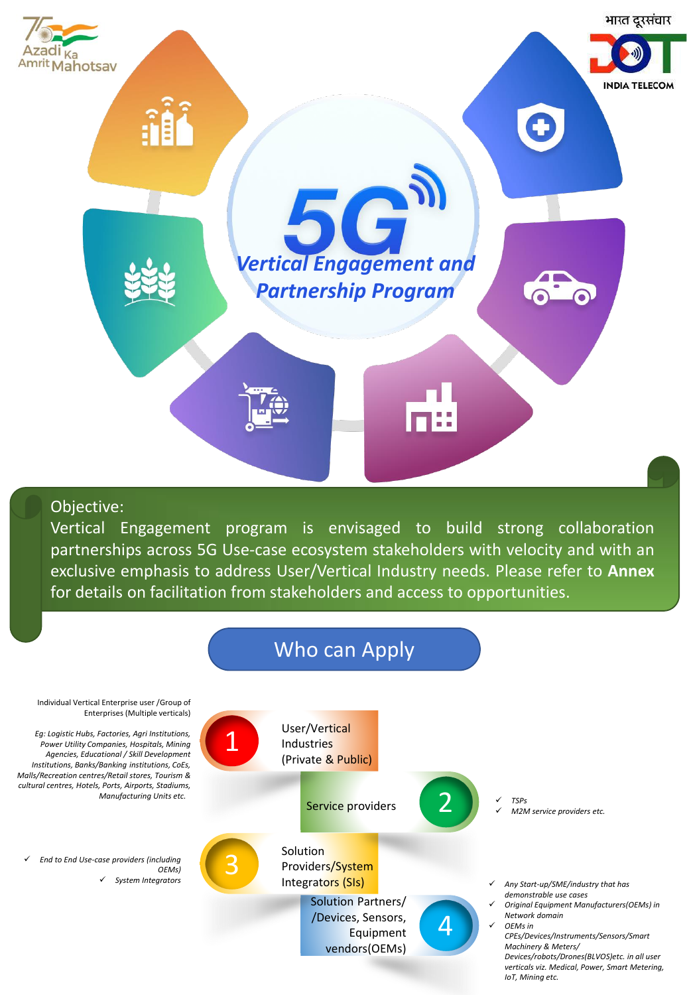

Objective:

Vertical Engagement program is envisaged to build strong collaboration partnerships across 5G Use-case ecosystem stakeholders with velocity and with an exclusive emphasis to address User/Vertical Industry needs. Please refer to **Annex** for details on facilitation from stakeholders and access to opportunities.